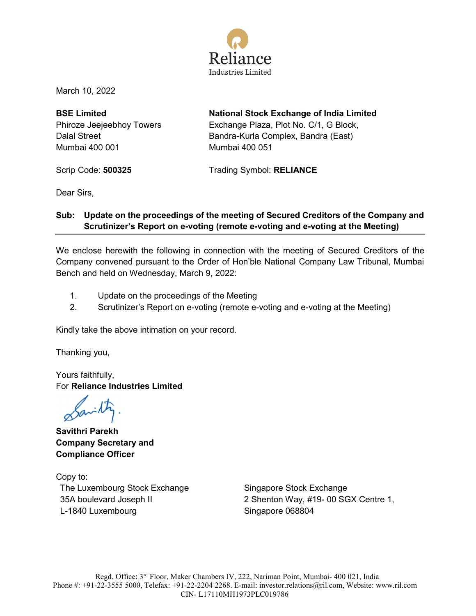

March 10, 2022

**BSE Limited** Phiroze Jeejeebhoy Towers Dalal Street Mumbai 400 001

**National Stock Exchange of India Limited** Exchange Plaza, Plot No. C/1, G Block, Bandra-Kurla Complex, Bandra (East) Mumbai 400 051

Scrip Code: **500325** Trading Symbol: **RELIANCE**

Dear Sirs,

### **Sub: Update on the proceedings of the meeting of Secured Creditors of the Company and Scrutinizer's Report on e-voting (remote e-voting and e-voting at the Meeting)**

We enclose herewith the following in connection with the meeting of Secured Creditors of the Company convened pursuant to the Order of Hon'ble National Company Law Tribunal, Mumbai Bench and held on Wednesday, March 9, 2022:

- 1. Update on the proceedings of the Meeting
- 2. Scrutinizer's Report on e-voting (remote e-voting and e-voting at the Meeting)

Kindly take the above intimation on your record.

Thanking you,

Yours faithfully, For **Reliance Industries Limited**

Savilty

**Savithri Parekh Company Secretary and Compliance Officer** 

Copy to: The Luxembourg Stock Exchange 35A boulevard Joseph II L-1840 Luxembourg

Singapore Stock Exchange 2 Shenton Way, #19- 00 SGX Centre 1, Singapore 068804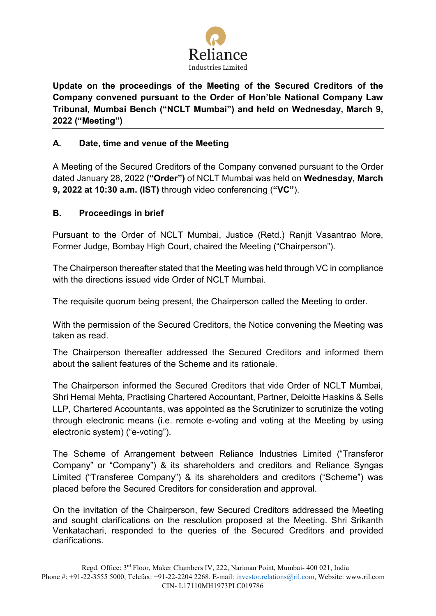

**Update on the proceedings of the Meeting of the Secured Creditors of the Company convened pursuant to the Order of Hon'ble National Company Law Tribunal, Mumbai Bench ("NCLT Mumbai") and held on Wednesday, March 9, 2022 ("Meeting")** 

### **A. Date, time and venue of the Meeting**

A Meeting of the Secured Creditors of the Company convened pursuant to the Order dated January 28, 2022 **("Order")** of NCLT Mumbai was held on **Wednesday, March 9, 2022 at 10:30 a.m. (IST)** through video conferencing (**"VC"**).

### **B. Proceedings in brief**

Pursuant to the Order of NCLT Mumbai, Justice (Retd.) Ranjit Vasantrao More, Former Judge, Bombay High Court, chaired the Meeting ("Chairperson").

The Chairperson thereafter stated that the Meeting was held through VC in compliance with the directions issued vide Order of NCLT Mumbai.

The requisite quorum being present, the Chairperson called the Meeting to order.

With the permission of the Secured Creditors, the Notice convening the Meeting was taken as read.

The Chairperson thereafter addressed the Secured Creditors and informed them about the salient features of the Scheme and its rationale.

The Chairperson informed the Secured Creditors that vide Order of NCLT Mumbai, Shri Hemal Mehta, Practising Chartered Accountant, Partner, Deloitte Haskins & Sells LLP, Chartered Accountants, was appointed as the Scrutinizer to scrutinize the voting through electronic means (i.e. remote e-voting and voting at the Meeting by using electronic system) ("e-voting").

The Scheme of Arrangement between Reliance Industries Limited ("Transferor Company" or "Company") & its shareholders and creditors and Reliance Syngas Limited ("Transferee Company") & its shareholders and creditors ("Scheme") was placed before the Secured Creditors for consideration and approval.

On the invitation of the Chairperson, few Secured Creditors addressed the Meeting and sought clarifications on the resolution proposed at the Meeting. Shri Srikanth Venkatachari, responded to the queries of the Secured Creditors and provided clarifications.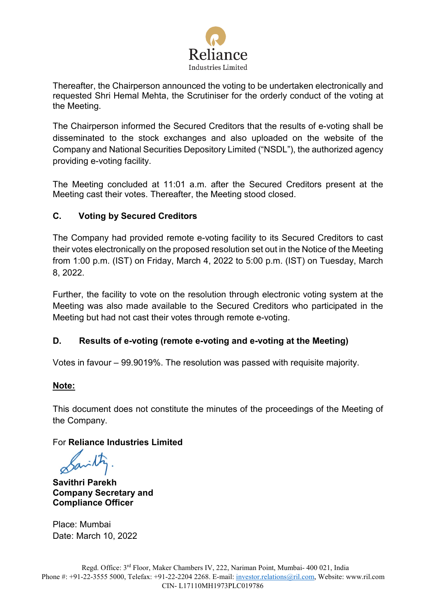

Thereafter, the Chairperson announced the voting to be undertaken electronically and requested Shri Hemal Mehta, the Scrutiniser for the orderly conduct of the voting at the Meeting.

The Chairperson informed the Secured Creditors that the results of e-voting shall be disseminated to the stock exchanges and also uploaded on the website of the Company and National Securities Depository Limited ("NSDL"), the authorized agency providing e-voting facility.

The Meeting concluded at 11:01 a.m. after the Secured Creditors present at the Meeting cast their votes. Thereafter, the Meeting stood closed.

# **C. Voting by Secured Creditors**

The Company had provided remote e-voting facility to its Secured Creditors to cast their votes electronically on the proposed resolution set out in the Notice of the Meeting from 1:00 p.m. (IST) on Friday, March 4, 2022 to 5:00 p.m. (IST) on Tuesday, March 8, 2022.

Further, the facility to vote on the resolution through electronic voting system at the Meeting was also made available to the Secured Creditors who participated in the Meeting but had not cast their votes through remote e-voting.

### **D. Results of e-voting (remote e-voting and e-voting at the Meeting)**

Votes in favour – 99.9019%. The resolution was passed with requisite majority.

### **Note:**

This document does not constitute the minutes of the proceedings of the Meeting of the Company.

### For **Reliance Industries Limited**

**Savithri Parekh Company Secretary and Compliance Officer**

Place: Mumbai Date: March 10, 2022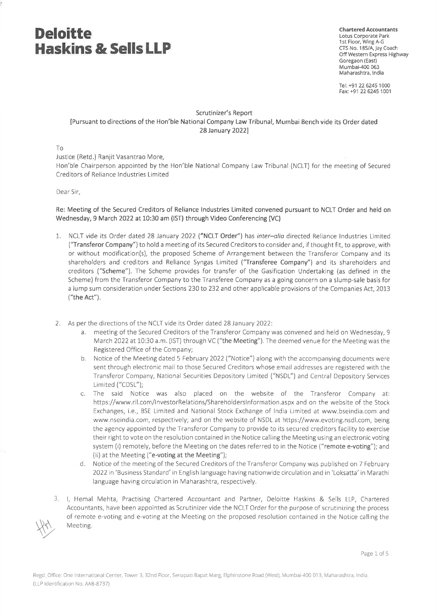**Chartered Accountants** Lotus Corporate Park 1st Floor, Wing A-G CTS No. 185/A, lay Coach Off Western Express Highway Goregaon (East) Mumbai-400 063 Maharashtra, India

Tel: +91 22 6245 1000 Fax: +91 22 6245 1001

#### Scrutinizer's Report [Pursuant to directions of the Hon'ble National Company Law Tribunal, Mumbai Bench vide its Order dated 28 January 2022]

#### $To$

Justice (Retd.) Ranjit Vasantrao More,

Hon'ble Chairperson appointed by the Hon'ble National Company Law Tribunal (NCLT) for the meeting of Secured Creditors of Reliance Industries Limited

#### Dear Sir.

Re: Meeting of the Secured Creditors of Reliance Industries Limited convened pursuant to NCLT Order and held on Wednesday, 9 March 2022 at 10:30 am (IST) through Video Conferencing (VC)

- 1. NCLT vide its Order dated 28 January 2022 ("NCLT Order") has inter-alia directed Reliance Industries Limited ("Transferor Company") to hold a meeting of its Secured Creditors to consider and, if thought fit, to approve, with or without modification(s), the proposed Scheme of Arrangement between the Transferor Company and its shareholders and creditors and Reliance Syngas Limited ("Transferee Company") and its shareholders and creditors ("Scheme"). The Scheme provides for transfer of the Gasification Undertaking (as defined in the Scheme) from the Transferor Company to the Transferee Company as a going concern on a slump-sale basis for a lump sum consideration under Sections 230 to 232 and other applicable provisions of the Companies Act, 2013 ("the Act").
- 2. As per the directions of the NCLT vide its Order dated 28 January 2022:
	- a. meeting of the Secured Creditors of the Transferor Company was convened and held on Wednesday, 9 March 2022 at 10:30 a.m. (IST) through VC ("the Meeting"). The deemed venue for the Meeting was the Registered Office of the Company;
	- b. Notice of the Meeting dated 5 February 2022 ("Notice") along with the accompanying documents were sent through electronic mail to those Secured Creditors whose email addresses are registered with the Transferor Company, National Securities Depository Limited ("NSDL") and Central Depository Services Limited ("CDSL");
	- The said Notice was also placed on the website of the Transferor Company at: C. https://www.ril.com/investorRelations/ShareholdersInformation.aspx and on the website of the Stock Exchanges, i.e., BSE Limited and National Stock Exchange of India Limited at www.bseindia.com and www.nseindia.com, respectively; and on the website of NSDL at https://www.evoting.nsdl.com, being the agency appointed by the Transferor Company to provide to its secured creditors facility to exercise their right to vote on the resolution contained in the Notice calling the Meeting using an electronic voting system (i) remotely, before the Meeting on the dates referred to in the Notice ("remote e-voting"); and (ii) at the Meeting ("e-voting at the Meeting");
	- d. Notice of the meeting of the Secured Creditors of the Transferor Company was published on 7 February 2022 in 'Business Standard' in English language having nationwide circulation and in 'Loksatta' in Marathi language having circulation in Maharashtra, respectively.
- 3. I, Hemal Mehta, Practising Chartered Accountant and Partner, Deloitte Haskins & Sells LLP, Chartered Accountants, have been appointed as Scrutinizer vide the NCLT Order for the purpose of scrutinizing the process of remote e-voting and e-voting at the Meeting on the proposed resolution contained in the Notice calling the Meeting.

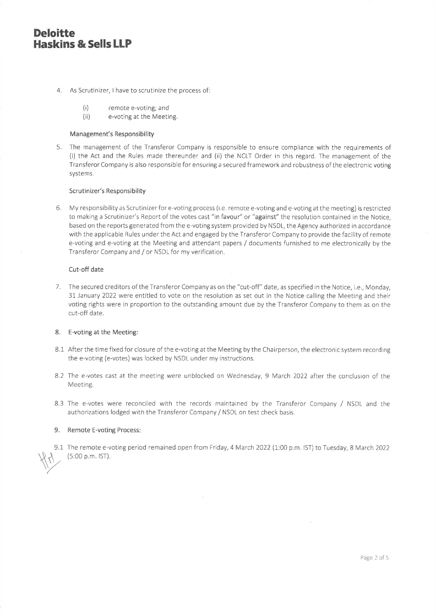- 4. As Scrutinizer, I have to scrutinize the process of
	- $(i)$ remote e-voting; and
	- $(ii)$ e-voting at the Meeting.

#### Management's Responsibility

5. The management of the Transferor Company is responsible to ensure compliance with the requirements of (i) the Act and the Rules made thereunder and (ii) the NCLT Order in this regard. The management of the Transferor Company is also responsible for ensuring a secured framework and robustness of the electronic voting systems.

#### Scrutinizer's Responsibility

6. My responsibility as Scrutinizer for e-voting process (i.e. remote e-voting and e-voting at the meeting) is restricted to making a Scrutinizer's Report of the votes cast "in favour" or "against" the resolution contained in the Notice, based on the reports generated from the e-voting system provided by NSDL, the Agency authorized in accordance with the applicable Rules under the Act and engaged by the Transferor Company to provide the facility of remote e-voting and e-voting at the Meeting and attendant papers / documents furnished to me electronically by the Transferor Company and / or NSDL for my verification.

#### Cut-off date

7. The secured creditors of the Transferor Company as on the "cut-off" date, as specified in the Notice, i.e., Monday, 31 January 2022 were entitled to vote on the resolution as set out in the Notice calling the Meeting and their voting rights were in proportion to the outstanding amount due by the Transferor Company to them as on the cut-off date.

#### 8. E-voting at the Meeting:

- 8.1 After the time fixed for closure of the e-voting at the Meeting by the Chairperson, the electronic system recording the e-voting (e-votes) was locked by NSDL under my instructions.
- 8.2 The e-votes cast at the meeting were unblocked on Wednesday, 9 March 2022 after the conclusion of the Meeting.
- 8.3 The e-votes were reconciled with the records maintained by the Transferor Company / NSDL and the authorizations lodged with the Transferor Company / NSDL on test check basis.

#### 9. Remote E-voting Process:

9.1 The remote e-voting period remained open from Friday, 4 March 2022 (1:00 p.m. IST) to Tuesday, 8 March 2022 (5:00 p.m. IST).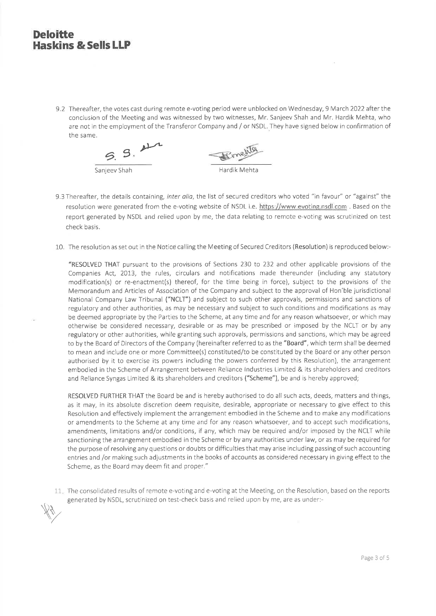9.2 Thereafter, the votes cast during remote e-voting period were unblocked on Wednesday, 9 March 2022 after the conclusion of the Meeting and was witnessed by two witnesses, Mr. Sanjeev Shah and Mr. Hardik Mehta, who are not in the employment of the Transferor Company and / or NSDL. They have signed below in confirmation of the same.



- 9.3 Thereafter, the details containing, inter alia, the list of secured creditors who voted "in favour" or "against" the resolution were generated from the e-voting website of NSDL i.e. https://www.evoting.nsdl.com . Based on the report generated by NSDL and relied upon by me, the data relating to remote e-voting was scrutinized on test check basis.
- 10. The resolution as set out in the Notice calling the Meeting of Secured Creditors (Resolution) is reproduced below:-

"RESOLVED THAT pursuant to the provisions of Sections 230 to 232 and other applicable provisions of the Companies Act, 2013, the rules, circulars and notifications made thereunder (including any statutory modification(s) or re-enactment(s) thereof, for the time being in force), subject to the provisions of the Memorandum and Articles of Association of the Company and subject to the approval of Hon'ble jurisdictional National Company Law Tribunal ("NCLT") and subject to such other approvals, permissions and sanctions of regulatory and other authorities, as may be necessary and subject to such conditions and modifications as may be deemed appropriate by the Parties to the Scheme, at any time and for any reason whatsoever, or which may otherwise be considered necessary, desirable or as may be prescribed or imposed by the NCLT or by any regulatory or other authorities, while granting such approvals, permissions and sanctions, which may be agreed to by the Board of Directors of the Company (hereinafter referred to as the "Board", which term shall be deemed to mean and include one or more Committee(s) constituted/to be constituted by the Board or any other person authorised by it to exercise its powers including the powers conferred by this Resolution), the arrangement embodied in the Scheme of Arrangement between Reliance Industries Limited & its shareholders and creditors and Reliance Syngas Limited & its shareholders and creditors ("Scheme"), be and is hereby approved;

RESOLVED FURTHER THAT the Board be and is hereby authorised to do all such acts, deeds, matters and things, as it may, in its absolute discretion deem requisite, desirable, appropriate or necessary to give effect to this Resolution and effectively implement the arrangement embodied in the Scheme and to make any modifications or amendments to the Scheme at any time and for any reason whatsoever, and to accept such modifications, amendments, limitations and/or conditions, if any, which may be required and/or imposed by the NCLT while sanctioning the arrangement embodied in the Scheme or by any authorities under law, or as may be required for the purpose of resolving any questions or doubts or difficulties that may arise including passing of such accounting entries and /or making such adjustments in the books of accounts as considered necessary in giving effect to the Scheme, as the Board may deem fit and proper."

11. The consolidated results of remote e-voting and e-voting at the Meeting, on the Resolution, based on the reports generated by NSDL, scrutinized on test-check basis and relied upon by me, are as under:-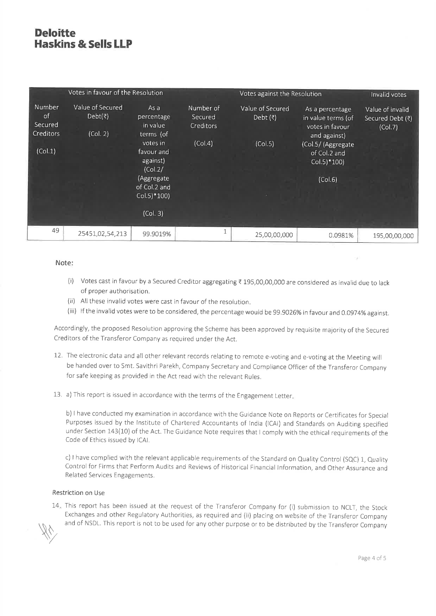| Votes in favour of the Resolution                      |                                         |                                                                                                                                                                     |                                              | Votes against the Resolution               |                                                                                                                                           | Invalid votes                                   |
|--------------------------------------------------------|-----------------------------------------|---------------------------------------------------------------------------------------------------------------------------------------------------------------------|----------------------------------------------|--------------------------------------------|-------------------------------------------------------------------------------------------------------------------------------------------|-------------------------------------------------|
| Number<br>of<br>Secured<br><b>Creditors</b><br>(Col.1) | Value of Secured<br>Debt(₹)<br>(Col. 2) | As a<br>percentage<br>in value<br>terms (of<br>votes in<br>favour and<br>against)<br>(Col.2/<br>(Aggregate<br>of Col.2 and<br>$Col.5$ <sup>*</sup> 100)<br>(Col. 3) | Number of<br>Secured<br>Creditors<br>(Col.4) | Value of Secured<br>Debt $($ ₹)<br>(Col.5) | As a percentage<br>in value terms (of<br>votes in favour<br>and against)<br>(Col.5/ (Aggregate<br>of Col.2 and<br>$Col.5)*100$<br>(Col.6) | Value of invalid<br>Secured Debt (₹)<br>(Col.7) |
|                                                        |                                         |                                                                                                                                                                     |                                              |                                            |                                                                                                                                           |                                                 |
| 49                                                     | 25451,02,54,213                         | 99.9019%                                                                                                                                                            |                                              | 25,00,00,000                               | 0.0981%                                                                                                                                   | 195,00,00,000                                   |

#### Note:

- (i) Votes cast in favour by a Secured Creditor aggregating ₹ 195,00,00,000 are considered as invalid due to lack of proper authorisation.
- (ii) All these invalid votes were cast in favour of the resolution.
- (iii) If the invalid votes were to be considered, the percentage would be 99.9026% in favour and 0.0974% against.

Accordingly, the proposed Resolution approving the Scheme has been approved by requisite majority of the Secured Creditors of the Transferor Company as required under the Act.

- 12. The electronic data and all other relevant records relating to remote e-voting and e-voting at the Meeting will be handed over to Smt. Savithri Parekh, Company Secretary and Compliance Officer of the Transferor Company for safe keeping as provided in the Act read with the relevant Rules.
- 13. a) This report is issued in accordance with the terms of the Engagement Letter.

b) I have conducted my examination in accordance with the Guidance Note on Reports or Certificates for Special Purposes issued by the Institute of Chartered Accountants of India (ICAI) and Standards on Auditing specified under Section 143(10) of the Act. The Guidance Note requires that I comply with the ethical requirements of the Code of Ethics issued by ICAI.

c) I have complied with the relevant applicable requirements of the Standard on Quality Control (SQC) 1, Quality Control for Firms that Perform Audits and Reviews of Historical Financial Information, and Other Assurance and Related Services Engagements.

#### Restriction on Use

 $14<sub>±</sub>$  This report has been issued at the request of the Transferor Company for (i) submission to NCLT, the Stock Exchanges and other Regulatory Authorities, as required and (ii) placing on website of the Transferor Company and of NSDL. This report is not to be used for any other purpose or to be distributed by the Transferor Company